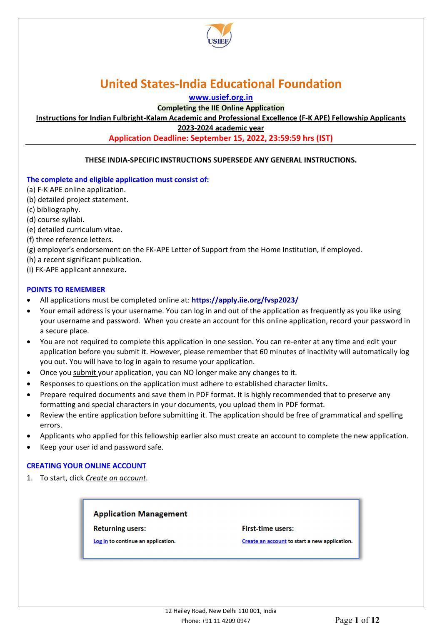

**[www.usief.org.in](http://www.usief.org.in/)**

**Completing the IIE Online Application** 

**Instructions for Indian Fulbright-Kalam Academic and Professional Excellence (F-K APE) Fellowship Applicants**

**2023-2024 academic year**

**Application Deadline: September 15, 2022, 23:59:59 hrs (IST)**

#### **THESE INDIA-SPECIFIC INSTRUCTIONS SUPERSEDE ANY GENERAL INSTRUCTIONS.**

#### **The complete and eligible application must consist of:**

- (a) F-K APE online application.
- (b) detailed project statement.
- (c) bibliography.
- (d) course syllabi.
- (e) detailed curriculum vitae.
- (f) three reference letters.
- (g) employer's endorsement on the FK-APE Letter of Support from the Home Institution, if employed.
- (h) a recent significant publication.
- (i) FK-APE applicant annexure.

#### **POINTS TO REMEMBER**

- All applications must be completed online at: **<https://apply.iie.org/fvsp2023/>**
- Your email address is your username. You can log in and out of the application as frequently as you like using your username and password. When you create an account for this online application, record your password in a secure place.
- You are not required to complete this application in one session. You can re-enter at any time and edit your application before you submit it. However, please remember that 60 minutes of inactivity will automatically log you out. You will have to log in again to resume your application.
- Once you submit your application, you can NO longer make any changes to it.
- Responses to questions on the application must adhere to established character limits**.**
- Prepare required documents and save them in PDF format. It is highly recommended that to preserve any formatting and special characters in your documents, you upload them in PDF format.
- Review the entire application before submitting it. The application should be free of grammatical and spelling errors.
- Applicants who applied for this fellowship earlier also must create an account to complete the new application.
- Keep your user id and password safe.

#### **CREATING YOUR ONLINE ACCOUNT**

1. To start, click *Create an account*.

#### **Application Management**

**Returning users:** 

Log in to continue an application.

#### **First-time users:**

Create an account to start a new application.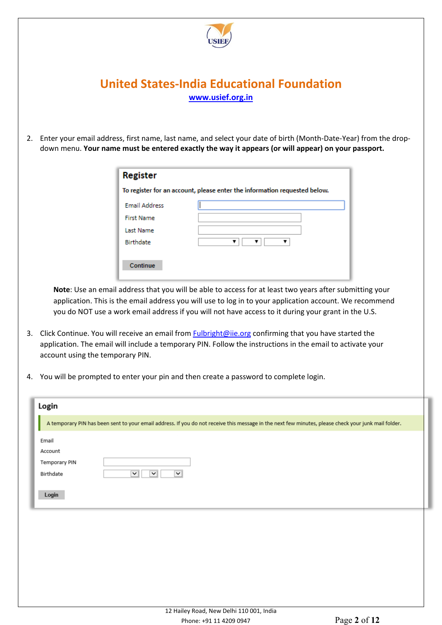

2. Enter your email address, first name, last name, and select your date of birth (Month-Date-Year) from the dropdown menu. **Your name must be entered exactly the way it appears (or will appear) on your passport.** 

| <b>Register</b>                                                           |  |  |  |
|---------------------------------------------------------------------------|--|--|--|
| To register for an account, please enter the information requested below. |  |  |  |
| <b>Email Address</b>                                                      |  |  |  |
| <b>First Name</b>                                                         |  |  |  |
| Last Name                                                                 |  |  |  |
| Birthdate                                                                 |  |  |  |
|                                                                           |  |  |  |
| Continue                                                                  |  |  |  |

**Note**: Use an email address that you will be able to access for at least two years after submitting your application. This is the email address you will use to log in to your application account. We recommend you do NOT use a work email address if you will not have access to it during your grant in the U.S.

- 3. Click Continue. You will receive an email from **Fulbright@iie.org** confirming that you have started the application. The email will include a temporary PIN. Follow the instructions in the email to activate your account using the temporary PIN.
- 4. You will be prompted to enter your pin and then create a password to complete login.

| Login                |                                                                                                                                                      |
|----------------------|------------------------------------------------------------------------------------------------------------------------------------------------------|
|                      | A temporary PIN has been sent to your email address. If you do not receive this message in the next few minutes, please check your junk mail folder. |
| Email                |                                                                                                                                                      |
| Account              |                                                                                                                                                      |
| <b>Temporary PIN</b> |                                                                                                                                                      |
| Birthdate            | v<br>$\checkmark$<br>$\check{ }$                                                                                                                     |
|                      |                                                                                                                                                      |
| Login                |                                                                                                                                                      |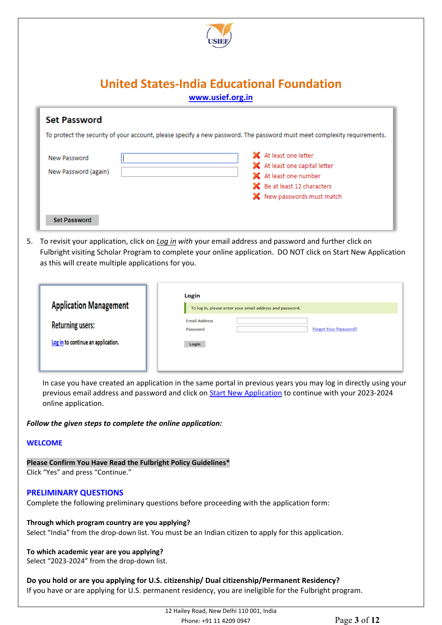

| <b>Set Password</b>                  | To protect the security of your account, please specify a new password. The password must meet complexity requirements.                       |
|--------------------------------------|-----------------------------------------------------------------------------------------------------------------------------------------------|
| New Password<br>New Password (again) | X At least one letter<br>X At least one capital letter<br>X At least one number<br>SC Be at least 12 characters<br>X New passwords must match |
| <b>Set Password</b>                  |                                                                                                                                               |

5. To revisit your application, click on *Log in with* your email address and password and further click on Fulbright visiting Scholar Program to complete your online application. DO NOT click on Start New Application as this will create multiple applications for you.

| <b>Application Management</b>      | Login<br>To log in, please enter your email address and password. |
|------------------------------------|-------------------------------------------------------------------|
| <b>Returning users:</b>            | <b>Email Address</b><br><b>Forgot Your Password?</b><br>Password  |
| Log in to continue an application. | Login                                                             |
|                                    |                                                                   |

In case you have created an application in the same portal in previous years you may log in directly using your previous email address and password and click on **Start New Application** to continue with your 2023-2024 online application.

#### *Follow the given steps to complete the online application:*

#### **WELCOME**

**Please Confirm You Have Read the Fulbright Policy Guidelines\***

Click "Yes" and press "Continue."

#### **PRELIMINARY QUESTIONS**

Complete the following preliminary questions before proceeding with the application form:

**Through which program country are you applying?** Select "India" from the drop-down list. You must be an Indian citizen to apply for this application.

#### **To which academic year are you applying?**

Select "2023-2024" from the drop-down list.

#### **Do you hold or are you applying for U.S. citizenship/ Dual citizenship/Permanent Residency?**

If you have or are applying for U.S. permanent residency, you are ineligible for the Fulbright program.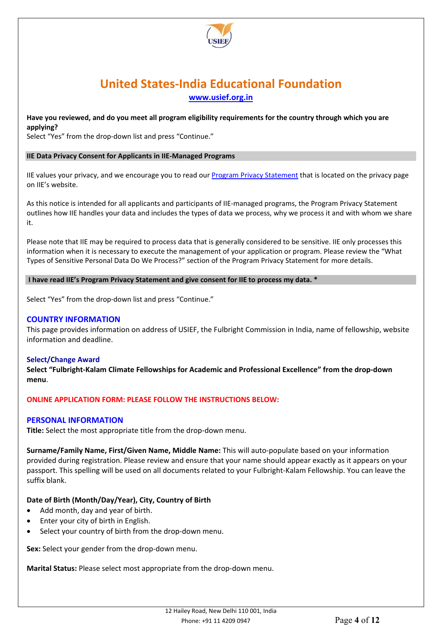

#### **Have you reviewed, and do you meet all program eligibility requirements for the country through which you are applying?**

Select "Yes" from the drop-down list and press "Continue."

#### **IIE Data Privacy Consent for Applicants in IIE-Managed Programs**

IIE values your privacy, and we encourage you to read our [Program Privacy Statement](http://www.iie.org/Learn/Privacy/IIE-Program-Privacy-Statement) that is located on the privacy page on IIE's website.

As this notice is intended for all applicants and participants of IIE-managed programs, the Program Privacy Statement outlines how IIE handles your data and includes the types of data we process, why we process it and with whom we share it.

Please note that IIE may be required to process data that is generally considered to be sensitive. IIE only processes this information when it is necessary to execute the management of your application or program. Please review the "What Types of Sensitive Personal Data Do We Process?" section of the Program Privacy Statement for more details.

#### **I have read IIE's Program Privacy Statement and give consent for IIE to process my data. \***

Select "Yes" from the drop-down list and press "Continue."

#### **COUNTRY INFORMATION**

This page provides information on address of USIEF, the Fulbright Commission in India, name of fellowship, website information and deadline.

#### **Select/Change Award**

**Select "Fulbright-Kalam Climate Fellowships for Academic and Professional Excellence" from the drop-down menu**.

#### **ONLINE APPLICATION FORM: PLEASE FOLLOW THE INSTRUCTIONS BELOW:**

#### **PERSONAL INFORMATION**

**Title:** Select the most appropriate title from the drop-down menu.

**Surname/Family Name, First/Given Name, Middle Name:** This will auto-populate based on your information provided during registration. Please review and ensure that your name should appear exactly as it appears on your passport. This spelling will be used on all documents related to your Fulbright-Kalam Fellowship. You can leave the suffix blank.

#### **Date of Birth (Month/Day/Year), City, Country of Birth**

- Add month, day and year of birth.
- Enter your city of birth in English.
- Select your country of birth from the drop-down menu.

**Sex:** Select your gender from the drop-down menu.

**Marital Status:** Please select most appropriate from the drop-down menu.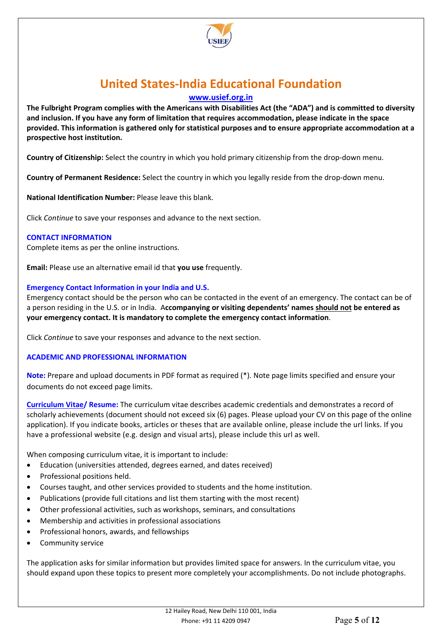

**[www.usief.org.in](http://www.usief.org.in/)**

**The Fulbright Program complies with the Americans with Disabilities Act (the "ADA") and is committed to diversity and inclusion. If you have any form of limitation that requires accommodation, please indicate in the space provided. This information is gathered only for statistical purposes and to ensure appropriate accommodation at a prospective host institution.**

**Country of Citizenship:** Select the country in which you hold primary citizenship from the drop-down menu.

**Country of Permanent Residence:** Select the country in which you legally reside from the drop-down menu.

**National Identification Number:** Please leave this blank.

Click *Continue* to save your responses and advance to the next section.

#### **CONTACT INFORMATION**

Complete items as per the online instructions.

**Email:** Please use an alternative email id that **you use** frequently.

#### **Emergency Contact Information in your India and U.S.**

Emergency contact should be the person who can be contacted in the event of an emergency. The contact can be of a person residing in the U.S. or in India. A**ccompanying or visiting dependents' names should not be entered as your emergency contact. It is mandatory to complete the emergency contact information**.

Click *Continue* to save your responses and advance to the next section.

#### **ACADEMIC AND PROFESSIONAL INFORMATION**

**Note:** Prepare and upload documents in PDF format as required (\*). Note page limits specified and ensure your documents do not exceed page limits.

**Curriculum Vitae/ Resume:** The curriculum vitae describes academic credentials and demonstrates a record of scholarly achievements (document should not exceed six (6) pages. Please upload your CV on this page of the online application). If you indicate books, articles or theses that are available online, please include the url links. If you have a professional website (e.g. design and visual arts), please include this url as well.

When composing curriculum vitae, it is important to include:

- Education (universities attended, degrees earned, and dates received)
- Professional positions held.
- Courses taught, and other services provided to students and the home institution.
- Publications (provide full citations and list them starting with the most recent)
- Other professional activities, such as workshops, seminars, and consultations
- Membership and activities in professional associations
- Professional honors, awards, and fellowships
- Community service

The application asks for similar information but provides limited space for answers. In the curriculum vitae, you should expand upon these topics to present more completely your accomplishments. Do not include photographs.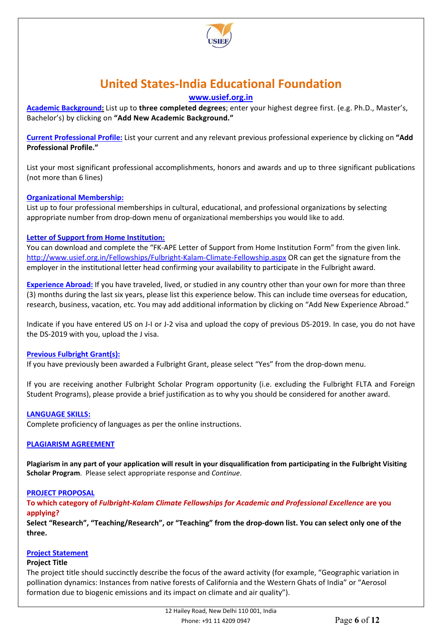

### **[www.usief.org.in](http://www.usief.org.in/)**

**Academic Background:** List up to **three completed degrees**; enter your highest degree first. (e.g. Ph.D., Master's, Bachelor's) by clicking on **"Add New Academic Background."**

**Current Professional Profile:** List your current and any relevant previous professional experience by clicking on **"Add Professional Profile."** 

List your most significant professional accomplishments, honors and awards and up to three significant publications (not more than 6 lines)

#### **Organizational Membership:**

List up to four professional memberships in cultural, educational, and professional organizations by selecting appropriate number from drop-down menu of organizational memberships you would like to add.

#### **Letter of Support from Home Institution:**

You can download and complete the "FK-APE Letter of Support from Home Institution Form" from the given link. <http://www.usief.org.in/Fellowships/Fulbright-Kalam-Climate-Fellowship.aspx> OR can get the signature from the employer in the institutional letter head confirming your availability to participate in the Fulbright award.

**Experience Abroad:** If you have traveled, lived, or studied in any country other than your own for more than three (3) months during the last six years, please list this experience below. This can include time overseas for education, research, business, vacation, etc. You may add additional information by clicking on "Add New Experience Abroad."

Indicate if you have entered US on J-I or J-2 visa and upload the copy of previous DS-2019. In case, you do not have the DS-2019 with you, upload the J visa.

#### **Previous Fulbright Grant(s):**

If you have previously been awarded a Fulbright Grant, please select "Yes" from the drop-down menu.

If you are receiving another Fulbright Scholar Program opportunity (i.e. excluding the Fulbright FLTA and Foreign Student Programs), please provide a brief justification as to why you should be considered for another award.

#### **LANGUAGE SKILLS:**

Complete proficiency of languages as per the online instructions.

#### **PLAGIARISM AGREEMENT**

**Plagiarism in any part of your application will result in your disqualification from participating in the Fulbright Visiting Scholar Program**. Please select appropriate response and *Continue*.

#### **PROJECT PROPOSAL**

**To which category of** *Fulbright-Kalam Climate Fellowships for Academic and Professional Excellence* **are you applying?**

**Select "Research", "Teaching/Research", or "Teaching" from the drop-down list. You can select only one of the three.** 

#### **Project Statement**

#### **Project Title**

The project title should succinctly describe the focus of the award activity (for example, "Geographic variation in pollination dynamics: Instances from native forests of California and the Western Ghats of India" or "Aerosol formation due to biogenic emissions and its impact on climate and air quality").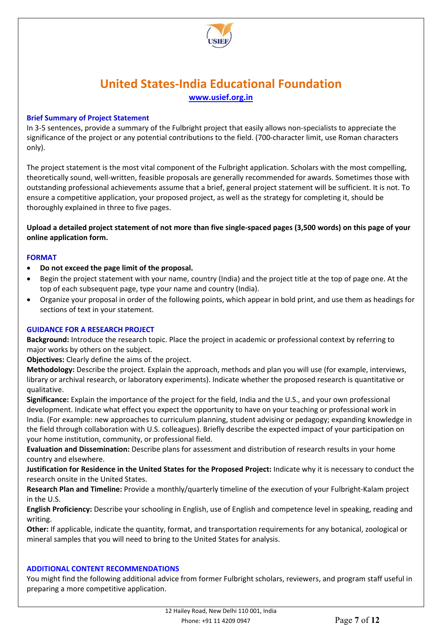

#### **Brief Summary of Project Statement**

In 3-5 sentences, provide a summary of the Fulbright project that easily allows non-specialists to appreciate the significance of the project or any potential contributions to the field. (700-character limit, use Roman characters only).

The project statement is the most vital component of the Fulbright application. Scholars with the most compelling, theoretically sound, well-written, feasible proposals are generally recommended for awards. Sometimes those with outstanding professional achievements assume that a brief, general project statement will be sufficient. It is not. To ensure a competitive application, your proposed project, as well as the strategy for completing it, should be thoroughly explained in three to five pages.

**Upload a detailed project statement of not more than five single-spaced pages (3,500 words) on this page of your online application form.** 

#### **FORMAT**

- **Do not exceed the page limit of the proposal.**
- Begin the project statement with your name, country (India) and the project title at the top of page one. At the top of each subsequent page, type your name and country (India).
- Organize your proposal in order of the following points, which appear in bold print, and use them as headings for sections of text in your statement.

#### **GUIDANCE FOR A RESEARCH PROJECT**

**Background:** Introduce the research topic. Place the project in academic or professional context by referring to major works by others on the subject.

**Objectives:** Clearly define the aims of the project.

**Methodology:** Describe the project. Explain the approach, methods and plan you will use (for example, interviews, library or archival research, or laboratory experiments). Indicate whether the proposed research is quantitative or qualitative.

**Significance:** Explain the importance of the project for the field, India and the U.S., and your own professional development. Indicate what effect you expect the opportunity to have on your teaching or professional work in India. (For example: new approaches to curriculum planning, student advising or pedagogy; expanding knowledge in the field through collaboration with U.S. colleagues). Briefly describe the expected impact of your participation on your home institution, community, or professional field.

**Evaluation and Dissemination:** Describe plans for assessment and distribution of research results in your home country and elsewhere.

**Justification for Residence in the United States for the Proposed Project:** Indicate why it is necessary to conduct the research onsite in the United States.

**Research Plan and Timeline:** Provide a monthly/quarterly timeline of the execution of your Fulbright-Kalam project in the U.S.

**English Proficiency:** Describe your schooling in English, use of English and competence level in speaking, reading and writing.

**Other:** If applicable, indicate the quantity, format, and transportation requirements for any botanical, zoological or mineral samples that you will need to bring to the United States for analysis.

#### **ADDITIONAL CONTENT RECOMMENDATIONS**

You might find the following additional advice from former Fulbright scholars, reviewers, and program staff useful in preparing a more competitive application.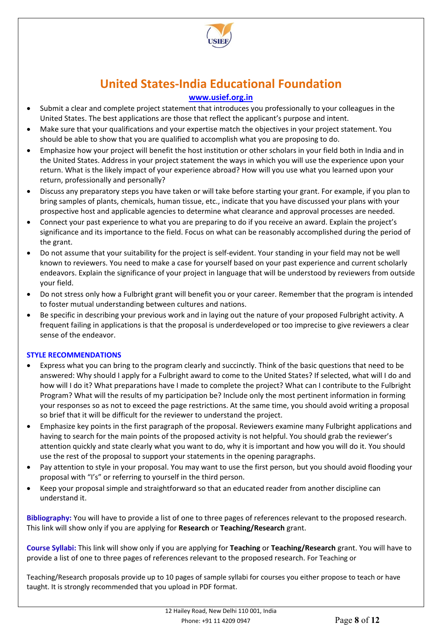

### **[www.usief.org.in](http://www.usief.org.in/)**

- Submit a clear and complete project statement that introduces you professionally to your colleagues in the United States. The best applications are those that reflect the applicant's purpose and intent.
- Make sure that your qualifications and your expertise match the objectives in your project statement. You should be able to show that you are qualified to accomplish what you are proposing to do.
- Emphasize how your project will benefit the host institution or other scholars in your field both in India and in the United States. Address in your project statement the ways in which you will use the experience upon your return. What is the likely impact of your experience abroad? How will you use what you learned upon your return, professionally and personally?
- Discuss any preparatory steps you have taken or will take before starting your grant. For example, if you plan to bring samples of plants, chemicals, human tissue, etc., indicate that you have discussed your plans with your prospective host and applicable agencies to determine what clearance and approval processes are needed.
- Connect your past experience to what you are preparing to do if you receive an award. Explain the project's significance and its importance to the field. Focus on what can be reasonably accomplished during the period of the grant.
- Do not assume that your suitability for the project is self-evident. Your standing in your field may not be well known to reviewers. You need to make a case for yourself based on your past experience and current scholarly endeavors. Explain the significance of your project in language that will be understood by reviewers from outside your field.
- Do not stress only how a Fulbright grant will benefit you or your career. Remember that the program is intended to foster mutual understanding between cultures and nations.
- Be specific in describing your previous work and in laying out the nature of your proposed Fulbright activity. A frequent failing in applications is that the proposal is underdeveloped or too imprecise to give reviewers a clear sense of the endeavor.

#### **STYLE RECOMMENDATIONS**

- Express what you can bring to the program clearly and succinctly. Think of the basic questions that need to be answered: Why should I apply for a Fulbright award to come to the United States? If selected, what will I do and how will I do it? What preparations have I made to complete the project? What can I contribute to the Fulbright Program? What will the results of my participation be? Include only the most pertinent information in forming your responses so as not to exceed the page restrictions. At the same time, you should avoid writing a proposal so brief that it will be difficult for the reviewer to understand the project.
- Emphasize key points in the first paragraph of the proposal. Reviewers examine many Fulbright applications and having to search for the main points of the proposed activity is not helpful. You should grab the reviewer's attention quickly and state clearly what you want to do, why it is important and how you will do it. You should use the rest of the proposal to support your statements in the opening paragraphs.
- Pay attention to style in your proposal. You may want to use the first person, but you should avoid flooding your proposal with "I's" or referring to yourself in the third person.
- Keep your proposal simple and straightforward so that an educated reader from another discipline can understand it.

**Bibliography:** You will have to provide a list of one to three pages of references relevant to the proposed research. This link will show only if you are applying for **Research** or **Teaching/Research** grant.

**Course Syllabi:** This link will show only if you are applying for **Teaching** or **Teaching/Research** grant. You will have to provide a list of one to three pages of references relevant to the proposed research. For Teaching or

Teaching/Research proposals provide up to 10 pages of sample syllabi for courses you either propose to teach or have taught. It is strongly recommended that you upload in PDF format.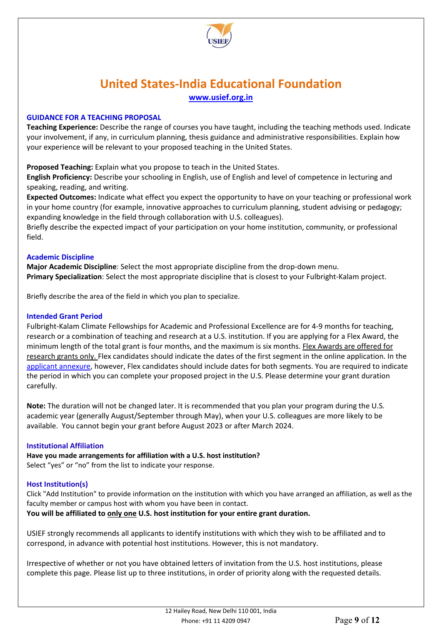

#### **GUIDANCE FOR A TEACHING PROPOSAL**

**Teaching Experience:** Describe the range of courses you have taught, including the teaching methods used. Indicate your involvement, if any, in curriculum planning, thesis guidance and administrative responsibilities. Explain how your experience will be relevant to your proposed teaching in the United States.

**Proposed Teaching:** Explain what you propose to teach in the United States.

**English Proficiency:** Describe your schooling in English, use of English and level of competence in lecturing and speaking, reading, and writing.

**Expected Outcomes:** Indicate what effect you expect the opportunity to have on your teaching or professional work in your home country (for example, innovative approaches to curriculum planning, student advising or pedagogy; expanding knowledge in the field through collaboration with U.S. colleagues).

Briefly describe the expected impact of your participation on your home institution, community, or professional field.

#### **Academic Discipline**

**Major Academic Discipline**: Select the most appropriate discipline from the drop-down menu. **Primary Specialization**: Select the most appropriate discipline that is closest to your Fulbright-Kalam project.

Briefly describe the area of the field in which you plan to specialize.

#### **Intended Grant Period**

Fulbright-Kalam Climate Fellowships for Academic and Professional Excellence are for 4-9 months for teaching, research or a combination of teaching and research at a U.S. institution. If you are applying for a Flex Award, the minimum length of the total grant is four months, and the maximum is six months. Flex Awards are offered for research grants only. Flex candidates should indicate the dates of the first segment in the online application. In the [applicant annexure,](http://www.usief.org.in/uploadip/ip2023-24/FK_APE_Applicant_Instructions.pdf) however, Flex candidates should include dates for both segments. You are required to indicate the period in which you can complete your proposed project in the U.S. Please determine your grant duration carefully.

**Note:** The duration will not be changed later. It is recommended that you plan your program during the U.S. academic year (generally August/September through May), when your U.S. colleagues are more likely to be available. You cannot begin your grant before August 2023 or after March 2024.

#### **Institutional Affiliation**

**Have you made arrangements for affiliation with a U.S. host institution?** Select "yes" or "no" from the list to indicate your response.

#### **Host Institution(s)**

Click "Add Institution" to provide information on the institution with which you have arranged an affiliation, as well as the faculty member or campus host with whom you have been in contact.

**You will be affiliated to only one U.S. host institution for your entire grant duration.** 

USIEF strongly recommends all applicants to identify institutions with which they wish to be affiliated and to correspond, in advance with potential host institutions. However, this is not mandatory.

Irrespective of whether or not you have obtained letters of invitation from the U.S. host institutions, please complete this page. Please list up to three institutions, in order of priority along with the requested details.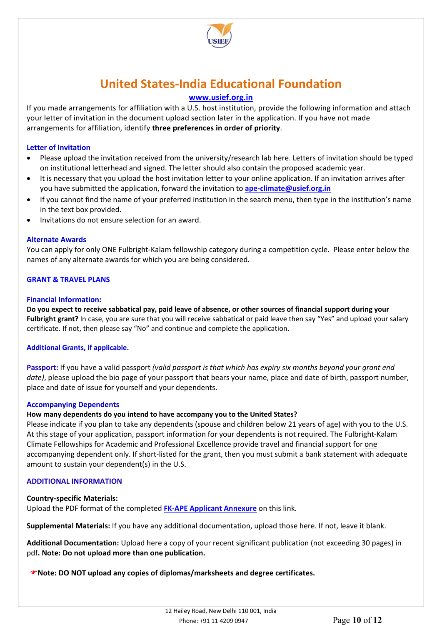

### **[www.usief.org.in](http://www.usief.org.in/)**

If you made arrangements for affiliation with a U.S. host institution, provide the following information and attach your letter of invitation in the document upload section later in the application. If you have not made arrangements for affiliation, identify **three preferences in order of priority**.

#### **Letter of Invitation**

- Please upload the invitation received from the university/research lab here. Letters of invitation should be typed on institutional letterhead and signed. The letter should also contain the proposed academic year.
- It is necessary that you upload the host invitation letter to your online application. If an invitation arrives after you have submitted the application, forward the invitation to **[ape-climate@usief.org.in](mailto:ape-climate@usief.org.in)**
- If you cannot find the name of your preferred institution in the search menu, then type in the institution's name in the text box provided.
- Invitations do not ensure selection for an award.

#### **Alternate Awards**

You can apply for only ONE Fulbright-Kalam fellowship category during a competition cycle. Please enter below the names of any alternate awards for which you are being considered.

#### **GRANT & TRAVEL PLANS**

#### **Financial Information:**

**Do you expect to receive sabbatical pay, paid leave of absence, or other sources of financial support during your Fulbright grant?** In case, you are sure that you will receive sabbatical or paid leave then say "Yes" and upload your salary certificate. If not, then please say "No" and continue and complete the application.

#### **Additional Grants, if applicable.**

**Passport:** If you have a valid passport *(valid passport is that which has expiry six months beyond your grant end date)*, please upload the bio page of your passport that bears your name, place and date of birth, passport number, place and date of issue for yourself and your dependents.

#### **Accompanying Dependents**

#### **How many dependents do you intend to have accompany you to the United States?**

Please indicate if you plan to take any dependents (spouse and children below 21 years of age) with you to the U.S. At this stage of your application, passport information for your dependents is not required. The Fulbright-Kalam Climate Fellowships for Academic and Professional Excellence provide travel and financial support for one accompanying dependent only. If short-listed for the grant, then you must submit a bank statement with adequate amount to sustain your dependent(s) in the U.S.

#### **ADDITIONAL INFORMATION**

#### **Country-specific Materials:**

Upload the PDF format of the completed **[FK-APE Applicant Annexure](http://www.usief.org.in/uploadip/ip2023-24/FK_APE_Applicant_Instructions.pdf)** on this link.

**Supplemental Materials:** If you have any additional documentation, upload those here. If not, leave it blank.

**Additional Documentation:** Upload here a copy of your recent significant publication (not exceeding 30 pages) in pdf**. Note: Do not upload more than one publication.**

**Note: DO NOT upload any copies of diplomas/marksheets and degree certificates.**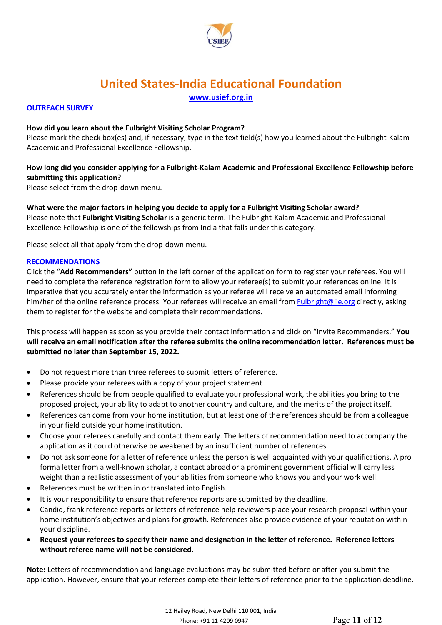

#### **OUTREACH SURVEY**

#### **How did you learn about the Fulbright Visiting Scholar Program?**

Please mark the check box(es) and, if necessary, type in the text field(s) how you learned about the Fulbright-Kalam Academic and Professional Excellence Fellowship.

### **How long did you consider applying for a Fulbright-Kalam Academic and Professional Excellence Fellowship before submitting this application?**

Please select from the drop-down menu.

**What were the major factors in helping you decide to apply for a Fulbright Visiting Scholar award?** Please note that **Fulbright Visiting Scholar** is a generic term. The Fulbright-Kalam Academic and Professional Excellence Fellowship is one of the fellowships from India that falls under this category.

Please select all that apply from the drop-down menu.

#### **RECOMMENDATIONS**

Click the "**Add Recommenders"** button in the left corner of the application form to register your referees. You will need to complete the reference registration form to allow your referee(s) to submit your references online. It is imperative that you accurately enter the information as your referee will receive an automated email informing him/her of the online reference process. Your referees will receive an email from **Fulbright@iie.org** directly, asking them to register for the website and complete their recommendations.

This process will happen as soon as you provide their contact information and click on "Invite Recommenders." **You will receive an email notification after the referee submits the online recommendation letter. References must be submitted no later than September 15, 2022.**

- Do not request more than three referees to submit letters of reference.
- Please provide your referees with a copy of your project statement.
- References should be from people qualified to evaluate your professional work, the abilities you bring to the proposed project, your ability to adapt to another country and culture, and the merits of the project itself.
- References can come from your home institution, but at least one of the references should be from a colleague in your field outside your home institution.
- Choose your referees carefully and contact them early. The letters of recommendation need to accompany the application as it could otherwise be weakened by an insufficient number of references.
- Do not ask someone for a letter of reference unless the person is well acquainted with your qualifications. A pro forma letter from a well-known scholar, a contact abroad or a prominent government official will carry less weight than a realistic assessment of your abilities from someone who knows you and your work well.
- References must be written in or translated into English.
- It is your responsibility to ensure that reference reports are submitted by the deadline.
- Candid, frank reference reports or letters of reference help reviewers place your research proposal within your home institution's objectives and plans for growth. References also provide evidence of your reputation within your discipline.
- **Request your referees to specify their name and designation in the letter of reference. Reference letters without referee name will not be considered.**

**Note:** Letters of recommendation and language evaluations may be submitted before or after you submit the application. However, ensure that your referees complete their letters of reference prior to the application deadline.